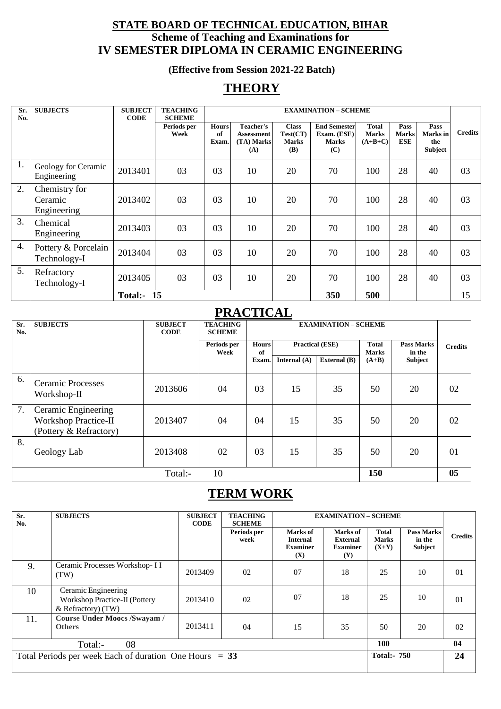### **STATE BOARD OF TECHNICAL EDUCATION, BIHAR Scheme of Teaching and Examinations for IV SEMESTER DIPLOMA IN CERAMIC ENGINEERING**

**(Effective from Session 2021-22 Batch)**

## **THEORY**

| Sr.<br>No. | <b>SUBJECTS</b>                         | <b>SUBJECT</b><br><b>CODE</b> | <b>TEACHING</b><br><b>SCHEME</b> |                             |                                              |                                                 | <b>EXAMINATION - SCHEME</b>                               |                                           |                                    |                                           |                |
|------------|-----------------------------------------|-------------------------------|----------------------------------|-----------------------------|----------------------------------------------|-------------------------------------------------|-----------------------------------------------------------|-------------------------------------------|------------------------------------|-------------------------------------------|----------------|
|            |                                         |                               | Periods per<br>Week              | <b>Hours</b><br>of<br>Exam. | Teacher's<br>Assessment<br>(TA) Marks<br>(A) | <b>Class</b><br>Test(CT)<br><b>Marks</b><br>(B) | <b>End Semester</b><br>Exam. (ESE)<br><b>Marks</b><br>(C) | <b>Total</b><br><b>Marks</b><br>$(A+B+C)$ | Pass<br><b>Marks</b><br><b>ESE</b> | Pass<br>Marks in<br>the<br><b>Subject</b> | <b>Credits</b> |
| 1.         | Geology for Ceramic<br>Engineering      | 2013401                       | 03                               | 03                          | 10                                           | 20                                              | 70                                                        | 100                                       | 28                                 | 40                                        | 03             |
| 2.         | Chemistry for<br>Ceramic<br>Engineering | 2013402                       | 03                               | 03                          | 10                                           | 20                                              | 70                                                        | 100                                       | 28                                 | 40                                        | 03             |
| 3.         | Chemical<br>Engineering                 | 2013403                       | 03                               | 03                          | 10                                           | 20                                              | 70                                                        | 100                                       | 28                                 | 40                                        | 03             |
| 4.         | Pottery & Porcelain<br>Technology-I     | 2013404                       | 03                               | 03                          | 10                                           | 20                                              | 70                                                        | 100                                       | 28                                 | 40                                        | 03             |
| 5.         | Refractory<br>Technology-I              | 2013405                       | 03                               | 03                          | 10                                           | 20                                              | 70                                                        | 100                                       | 28                                 | 40                                        | 03             |
|            |                                         | <b>Total:-</b>                | 15                               |                             |                                              |                                                 | 350                                                       | 500                                       |                                    |                                           | 15             |

## **PRACTICAL**

| Sr.<br>No. | <b>SUBJECTS</b>                                                              | <b>SUBJECT</b><br><b>CODE</b> | <b>TEACHING</b><br><b>SCHEME</b> | <b>EXAMINATION - SCHEME</b> |                |                        |         |                             |                |
|------------|------------------------------------------------------------------------------|-------------------------------|----------------------------------|-----------------------------|----------------|------------------------|---------|-----------------------------|----------------|
|            |                                                                              |                               | Periods per<br>Week              | <b>Hours</b><br>of          |                | <b>Practical (ESE)</b> |         | <b>Pass Marks</b><br>in the | <b>Credits</b> |
|            |                                                                              |                               |                                  | Exam.                       | Internal $(A)$ | External (B)           | $(A+B)$ | <b>Subject</b>              |                |
| 6.         | <b>Ceramic Processes</b><br>Workshop-II                                      | 2013606                       | 04                               | 03                          | 15             | 35                     | 50      | 20                          | 02             |
| 7.         | Ceramic Engineering<br><b>Workshop Practice-II</b><br>(Pottery & Refractory) | 2013407                       | 04                               | 04                          | 15             | 35                     | 50      | 20                          | 02             |
| 8.         | Geology Lab                                                                  | 2013408                       | 02                               | 03                          | 15             | 35                     | 50      | 20                          | 01             |
|            |                                                                              | Total:-                       | 10                               |                             |                |                        | 150     |                             | 05             |

## **TERM WORK**

| Sr.<br>No. | <b>SUBJECTS</b>                                                              | <b>SUBJECT</b><br><b>TEACHING</b><br><b>EXAMINATION - SCHEME</b><br><b>CODE</b><br><b>SCHEME</b> |                     |                                                       |                                                              |                                  |                                        |                |
|------------|------------------------------------------------------------------------------|--------------------------------------------------------------------------------------------------|---------------------|-------------------------------------------------------|--------------------------------------------------------------|----------------------------------|----------------------------------------|----------------|
|            |                                                                              |                                                                                                  | Periods per<br>week | Marks of<br><b>Internal</b><br><b>Examiner</b><br>(X) | <b>Marks</b> of<br><b>External</b><br><b>Examiner</b><br>(Y) | Total<br><b>Marks</b><br>$(X+Y)$ | <b>Pass Marks</b><br>in the<br>Subject | <b>Credits</b> |
| 9.         | Ceramic Processes Workshop-II<br>(TW)                                        | 2013409                                                                                          | 02                  | 07                                                    | 18                                                           | 25                               | 10                                     | 01             |
| 10         | Ceramic Engineering<br>Workshop Practice-II (Pottery<br>$&$ Refractory) (TW) | 2013410                                                                                          | 02                  | 07                                                    | 18                                                           | 25                               | 10                                     | 01             |
| 11.        | <b>Course Under Moocs /Swayam /</b><br><b>Others</b>                         | 2013411                                                                                          | 04                  | 15                                                    | 35                                                           | 50                               | 20                                     | 02             |
|            | Total:-<br>08                                                                |                                                                                                  |                     |                                                       |                                                              | 100                              |                                        | 04             |
|            | Total Periods per week Each of duration One Hours $= 33$                     |                                                                                                  |                     |                                                       |                                                              | <b>Total:- 750</b>               |                                        | 24             |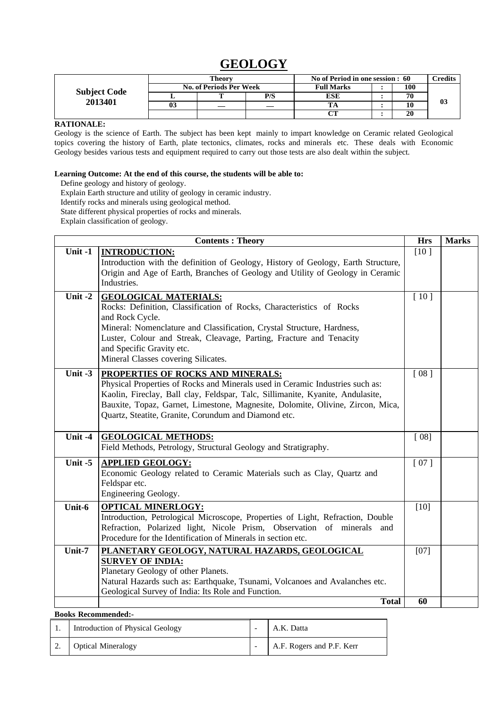## **GEOLOGY**

|                     |           | Theory                         |     | No of Period in one session : 60 | Credits |  |
|---------------------|-----------|--------------------------------|-----|----------------------------------|---------|--|
| <b>Subject Code</b> |           | <b>No. of Periods Per Week</b> |     | <b>Full Marks</b>                | 100     |  |
| 2013401             | P/S<br>г. |                                | ESE | 70                               |         |  |
|                     |           |                                |     |                                  | 03      |  |
|                     |           |                                |     | $\sim$                           | 20      |  |

### **RATIONALE:**

Geology is the science of Earth. The subject has been kept mainly to impart knowledge on Ceramic related Geological topics covering the history of Earth, plate tectonics, climates, rocks and minerals etc. These deals with Economic Geology besides various tests and equipment required to carry out those tests are also dealt within the subject.

#### **Learning Outcome: At the end of this course, the students will be able to:**

Define geology and history of geology.

Explain Earth structure and utility of geology in ceramic industry.

Identify rocks and minerals using geological method.

State different physical properties of rocks and minerals.

Explain classification of geology.

|           | <b>Contents: Theory</b>                                                           | <b>Hrs</b> | <b>Marks</b> |
|-----------|-----------------------------------------------------------------------------------|------------|--------------|
| Unit $-1$ | <b>INTRODUCTION:</b>                                                              | [10]       |              |
|           | Introduction with the definition of Geology, History of Geology, Earth Structure, |            |              |
|           | Origin and Age of Earth, Branches of Geology and Utility of Geology in Ceramic    |            |              |
|           | Industries.                                                                       |            |              |
| Unit $-2$ | <b>GEOLOGICAL MATERIALS:</b>                                                      | $[10]$     |              |
|           | Rocks: Definition, Classification of Rocks, Characteristics of Rocks              |            |              |
|           | and Rock Cycle.                                                                   |            |              |
|           | Mineral: Nomenclature and Classification, Crystal Structure, Hardness,            |            |              |
|           | Luster, Colour and Streak, Cleavage, Parting, Fracture and Tenacity               |            |              |
|           | and Specific Gravity etc.                                                         |            |              |
|           | Mineral Classes covering Silicates.                                               |            |              |
| Unit $-3$ | PROPERTIES OF ROCKS AND MINERALS:                                                 | [08]       |              |
|           | Physical Properties of Rocks and Minerals used in Ceramic Industries such as:     |            |              |
|           | Kaolin, Fireclay, Ball clay, Feldspar, Talc, Sillimanite, Kyanite, Andulasite,    |            |              |
|           | Bauxite, Topaz, Garnet, Limestone, Magnesite, Dolomite, Olivine, Zircon, Mica,    |            |              |
|           | Quartz, Steatite, Granite, Corundum and Diamond etc.                              |            |              |
|           |                                                                                   |            |              |
| Unit -4   | <b>GEOLOGICAL METHODS:</b>                                                        | [08]       |              |
|           | Field Methods, Petrology, Structural Geology and Stratigraphy.                    |            |              |
| Unit $-5$ | <b>APPLIED GEOLOGY:</b>                                                           | [07]       |              |
|           | Economic Geology related to Ceramic Materials such as Clay, Quartz and            |            |              |
|           | Feldspar etc.                                                                     |            |              |
|           | Engineering Geology.                                                              |            |              |
| Unit-6    | <b>OPTICAL MINERLOGY:</b>                                                         | $[10]$     |              |
|           | Introduction, Petrological Microscope, Properties of Light, Refraction, Double    |            |              |
|           | Refraction, Polarized light, Nicole Prism, Observation of minerals and            |            |              |
|           | Procedure for the Identification of Minerals in section etc.                      |            |              |
| Unit-7    | PLANETARY GEOLOGY, NATURAL HAZARDS, GEOLOGICAL                                    | [07]       |              |
|           | <b>SURVEY OF INDIA:</b>                                                           |            |              |
|           | Planetary Geology of other Planets.                                               |            |              |
|           | Natural Hazards such as: Earthquake, Tsunami, Volcanoes and Avalanches etc.       |            |              |
|           | Geological Survey of India: Its Role and Function.<br><b>Total</b>                | 60         |              |

|    | Introduction of Physical Geology | A.K. Datta                |
|----|----------------------------------|---------------------------|
| 2. | <b>Optical Mineralogy</b>        | A.F. Rogers and P.F. Kerr |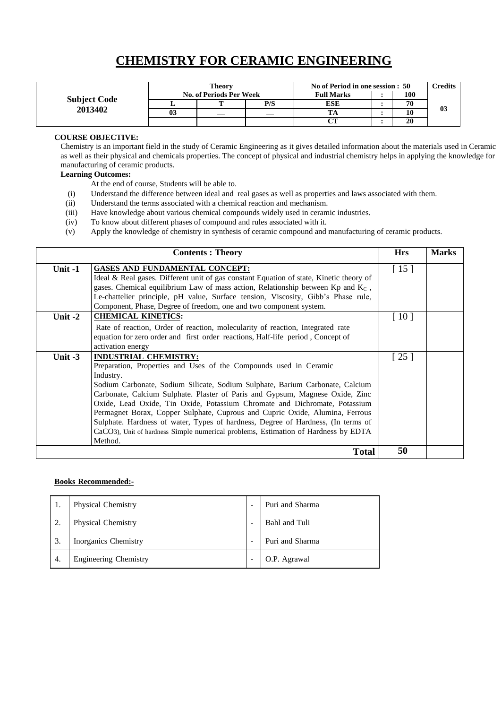## **CHEMISTRY FOR CERAMIC ENGINEERING**

|                     |    | Theory                         |  | No of Period in one session : 50 | <b>Tredits</b> |    |
|---------------------|----|--------------------------------|--|----------------------------------|----------------|----|
| <b>Subject Code</b> |    | <b>No. of Periods Per Week</b> |  | <b>Full Marks</b>                | 100            |    |
| 2013402             |    |                                |  | ESE                              | 70             |    |
|                     | 03 |                                |  |                                  |                | 03 |
|                     |    |                                |  | $\alpha$                         | 20             |    |

#### **COURSE OBJECTIVE:**

Chemistry is an important field in the study of Ceramic Engineering as it gives detailed information about the materials used in Ceramic as well as their physical and chemicals properties. The concept of physical and industrial chemistry helps in applying the knowledge for manufacturing of ceramic products.

#### **Learning Outcomes:**

- At the end of course, Students will be able to.
- (i) Understand the difference between ideal and real gases as well as properties and laws associated with them.
- (ii) Understand the terms associated with a chemical reaction and mechanism.
- (iii) Have knowledge about various chemical compounds widely used in ceramic industries.
- (iv) To know about different phases of compound and rules associated with it.
- (v) Apply the knowledge of chemistry in synthesis of ceramic compound and manufacturing of ceramic products.

|           | <b>Contents: Theory</b>                                                                                                                                                                                                                                                                                                                                                                                                                                                                                                                                                                                                             | <b>Hrs</b>         | <b>Marks</b> |
|-----------|-------------------------------------------------------------------------------------------------------------------------------------------------------------------------------------------------------------------------------------------------------------------------------------------------------------------------------------------------------------------------------------------------------------------------------------------------------------------------------------------------------------------------------------------------------------------------------------------------------------------------------------|--------------------|--------------|
| Unit $-1$ | <b>GASES AND FUNDAMENTAL CONCEPT:</b><br>Ideal & Real gases. Different unit of gas constant Equation of state, Kinetic theory of<br>gases. Chemical equilibrium Law of mass action, Relationship between Kp and $K_c$ ,<br>Le-chattelier principle, pH value, Surface tension, Viscosity, Gibb's Phase rule,<br>Component, Phase, Degree of freedom, one and two component system.                                                                                                                                                                                                                                                  | $[15]$             |              |
| Unit $-2$ | <b>CHEMICAL KINETICS:</b><br>Rate of reaction, Order of reaction, molecularity of reaction, Integrated rate<br>equation for zero order and first order reactions, Half-life period, Concept of<br>activation energy                                                                                                                                                                                                                                                                                                                                                                                                                 | [10]               |              |
| Unit $-3$ | <b>INDUSTRIAL CHEMISTRY:</b><br>Preparation, Properties and Uses of the Compounds used in Ceramic<br>Industry.<br>Sodium Carbonate, Sodium Silicate, Sodium Sulphate, Barium Carbonate, Calcium<br>Carbonate, Calcium Sulphate. Plaster of Paris and Gypsum, Magnese Oxide, Zinc<br>Oxide, Lead Oxide, Tin Oxide, Potassium Chromate and Dichromate, Potassium<br>Permagnet Borax, Copper Sulphate, Cuprous and Cupric Oxide, Alumina, Ferrous<br>Sulphate. Hardness of water, Types of hardness, Degree of Hardness, (In terms of<br>CaCO3), Unit of hardness Simple numerical problems, Estimation of Hardness by EDTA<br>Method. | $\lceil 25 \rceil$ |              |
|           | <b>Total</b>                                                                                                                                                                                                                                                                                                                                                                                                                                                                                                                                                                                                                        | 50                 |              |

| 1. | Physical Chemistry           | Puri and Sharma |
|----|------------------------------|-----------------|
| 2. | <b>Physical Chemistry</b>    | Bahl and Tuli   |
| 3. | Inorganics Chemistry         | Puri and Sharma |
| 4. | <b>Engineering Chemistry</b> | O.P. Agrawal    |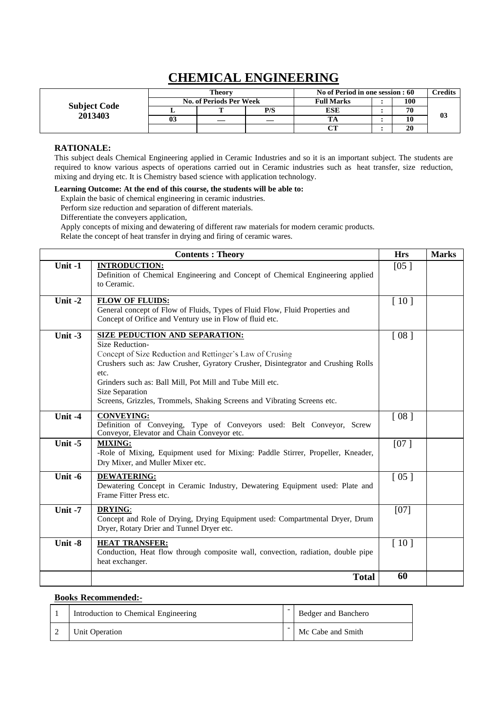## **CHEMICAL ENGINEERING**

|                                |    | Theory                         |        | No of Period in one session : 60 | <b>Tredits</b> |     |    |
|--------------------------------|----|--------------------------------|--------|----------------------------------|----------------|-----|----|
|                                |    | <b>No. of Periods Per Week</b> |        | <b>Full Marks</b>                |                | 100 |    |
| <b>Subject Code</b><br>2013403 |    | P/S                            |        | ESE                              | 70             |     |    |
|                                | 03 |                                |        |                                  |                | 10  | 03 |
|                                |    |                                | $\sim$ |                                  | 20             |     |    |

### **RATIONALE:**

This subject deals Chemical Engineering applied in Ceramic Industries and so it is an important subject. The students are required to know various aspects of operations carried out in Ceramic industries such as heat transfer, size reduction, mixing and drying etc. It is Chemistry based science with application technology.

### **Learning Outcome: At the end of this course, the students will be able to:**

Explain the basic of chemical engineering in ceramic industries.

Perform size reduction and separation of different materials.

Differentiate the conveyers application,

Apply concepts of mixing and dewatering of different raw materials for modern ceramic products. Relate the concept of heat transfer in drying and firing of ceramic wares.

|           | <b>Contents: Theory</b>                                                                                                                                                                                                                                                                                                                                                     | <b>Hrs</b> | <b>Marks</b> |
|-----------|-----------------------------------------------------------------------------------------------------------------------------------------------------------------------------------------------------------------------------------------------------------------------------------------------------------------------------------------------------------------------------|------------|--------------|
| Unit -1   | <b>INTRODUCTION:</b><br>Definition of Chemical Engineering and Concept of Chemical Engineering applied<br>to Ceramic.                                                                                                                                                                                                                                                       | [05]       |              |
| Unit $-2$ | <b>FLOW OF FLUIDS:</b><br>General concept of Flow of Fluids, Types of Fluid Flow, Fluid Properties and<br>Concept of Orifice and Ventury use in Flow of fluid etc.                                                                                                                                                                                                          | $[10]$     |              |
| Unit -3   | SIZE PEDUCTION AND SEPARATION:<br><b>Size Reduction-</b><br>Concept of Size Reduction and Rettinger's Law of Crusing<br>Crushers such as: Jaw Crusher, Gyratory Crusher, Disintegrator and Crushing Rolls<br>etc.<br>Grinders such as: Ball Mill, Pot Mill and Tube Mill etc.<br>Size Separation<br>Screens, Grizzles, Trommels, Shaking Screens and Vibrating Screens etc. | [08]       |              |
| Unit -4   | <b>CONVEYING:</b><br>Definition of Conveying, Type of Conveyors used: Belt Conveyor, Screw<br>Conveyor, Elevator and Chain Conveyor etc.                                                                                                                                                                                                                                    | [08]       |              |
| Unit $-5$ | <b>MIXING:</b><br>-Role of Mixing, Equipment used for Mixing: Paddle Stirrer, Propeller, Kneader,<br>Dry Mixer, and Muller Mixer etc.                                                                                                                                                                                                                                       | [07]       |              |
| Unit -6   | <b>DEWATERING:</b><br>Dewatering Concept in Ceramic Industry, Dewatering Equipment used: Plate and<br>Frame Fitter Press etc.                                                                                                                                                                                                                                               | [05]       |              |
| Unit -7   | <b>DRYING:</b><br>Concept and Role of Drying, Drying Equipment used: Compartmental Dryer, Drum<br>Dryer, Rotary Drier and Tunnel Dryer etc.                                                                                                                                                                                                                                 | [07]       |              |
| Unit -8   | <b>HEAT TRANSFER:</b><br>Conduction, Heat flow through composite wall, convection, radiation, double pipe<br>heat exchanger.                                                                                                                                                                                                                                                | [10]       |              |
|           | <b>Total</b>                                                                                                                                                                                                                                                                                                                                                                | 60         |              |

| Introduction to Chemical Engineering | Bedger and Banchero |
|--------------------------------------|---------------------|
| Unit Operation                       | Mc Cabe and Smith   |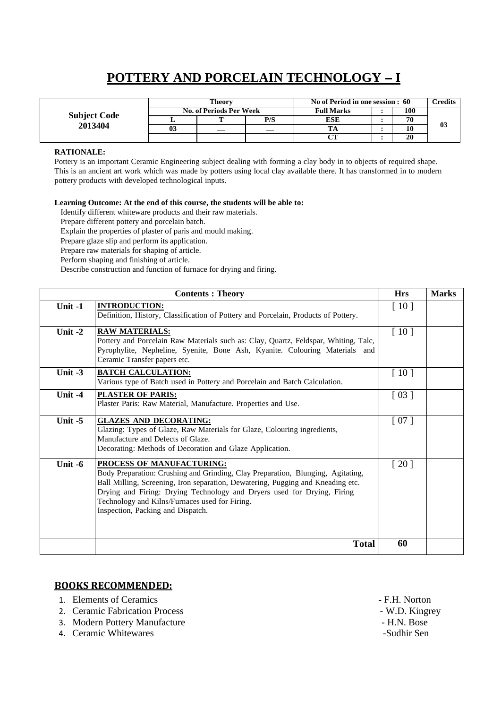# **POTTERY AND PORCELAIN TECHNOLOGY I**

|                     | Theorv                         |                          |     | No of Period in one session : 60 |  |     | Credits |
|---------------------|--------------------------------|--------------------------|-----|----------------------------------|--|-----|---------|
| <b>Subject Code</b> | <b>No. of Periods Per Week</b> |                          |     | <b>Full Marks</b>                |  | 100 |         |
|                     |                                |                          | P/S | ESE                              |  | 70  | 03      |
| 2013404             | 03                             | $\overline{\phantom{a}}$ |     |                                  |  | 10  |         |
|                     |                                |                          |     | CТ                               |  | 20  |         |

### **RATIONALE:**

Pottery is an important Ceramic Engineering subject dealing with forming a clay body in to objects of required shape. This is an ancient art work which was made by potters using local clay available there. It has transformed in to modern pottery products with developed technological inputs.

#### **Learning Outcome: At the end of this course, the students will be able to:**

Identify different whiteware products and their raw materials.

Prepare different pottery and porcelain batch.

Explain the properties of plaster of paris and mould making.

Prepare glaze slip and perform its application.

Prepare raw materials for shaping of article.

Perform shaping and finishing of article.

Describe construction and function of furnace for drying and firing.

|           | <b>Hrs</b>                                                                                                                                                                                                                                                                                                                                                        | <b>Marks</b>       |  |
|-----------|-------------------------------------------------------------------------------------------------------------------------------------------------------------------------------------------------------------------------------------------------------------------------------------------------------------------------------------------------------------------|--------------------|--|
| Unit -1   | <b>INTRODUCTION:</b><br>Definition, History, Classification of Pottery and Porcelain, Products of Pottery.                                                                                                                                                                                                                                                        | [10]               |  |
| Unit $-2$ | <b>RAW MATERIALS:</b><br>Pottery and Porcelain Raw Materials such as: Clay, Quartz, Feldspar, Whiting, Talc,<br>Pyrophylite, Nepheline, Syenite, Bone Ash, Kyanite. Colouring Materials and<br>Ceramic Transfer papers etc.                                                                                                                                       | [10]               |  |
| Unit $-3$ | <b>BATCH CALCULATION:</b><br>Various type of Batch used in Pottery and Porcelain and Batch Calculation.                                                                                                                                                                                                                                                           | $\lceil 10 \rceil$ |  |
| Unit -4   | <b>PLASTER OF PARIS:</b><br>Plaster Paris: Raw Material, Manufacture. Properties and Use.                                                                                                                                                                                                                                                                         | [03]               |  |
| Unit $-5$ | <b>GLAZES AND DECORATING:</b><br>Glazing: Types of Glaze, Raw Materials for Glaze, Colouring ingredients,<br>Manufacture and Defects of Glaze.<br>Decorating: Methods of Decoration and Glaze Application.                                                                                                                                                        | [07]               |  |
| Unit -6   | PROCESS OF MANUFACTURING:<br>Body Preparation: Crushing and Grinding, Clay Preparation, Blunging, Agitating,<br>Ball Milling, Screening, Iron separation, Dewatering, Pugging and Kneading etc.<br>Drying and Firing: Drying Technology and Dryers used for Drying, Firing<br>Technology and Kilns/Furnaces used for Firing.<br>Inspection, Packing and Dispatch. | $\lceil 20 \rceil$ |  |
|           | <b>Total</b>                                                                                                                                                                                                                                                                                                                                                      | 60                 |  |

- 1. Elements of Ceramics  $-$  F.H. Norton
- 2. Ceramic Fabrication Process W.D. Kingrey<br>
3. Modern Pottery Manufacture H.N. Bose
- 3. Modern Pottery Manufacture H.N. Bose<br>
4. Ceramic Whitewares Sudhir Sen
- 4. Ceramic Whitewares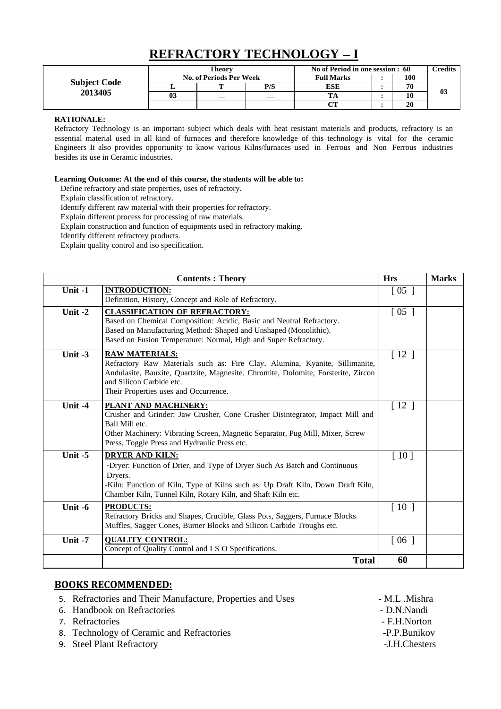# **REFRACTORY TECHNOLOGY I**

|                                | Theory                         |  |     | No of Period in one session : 60 |  |     | <b>Predits</b> |
|--------------------------------|--------------------------------|--|-----|----------------------------------|--|-----|----------------|
|                                | <b>No. of Periods Per Week</b> |  |     | <b>Full Marks</b>                |  | 100 |                |
| <b>Subject Code</b><br>2013405 |                                |  | P/S | ESE                              |  | 70  |                |
|                                | 0 <sup>3</sup>                 |  |     |                                  |  | 10  | 03             |
|                                |                                |  |     | $\sim$                           |  | 20  |                |

### **RATIONALE:**

Refractory Technology is an important subject which deals with heat resistant materials and products, refractory is an essential material used in all kind of furnaces and therefore knowledge of this technology is vital for the ceramic Engineers It also provides opportunity to know various Kilns/furnaces used in Ferrous and Non Ferrous industries besides its use in Ceramic industries.

#### **Learning Outcome: At the end of this course, the students will be able to:**

Define refractory and state properties, uses of refractory.

Explain classification of refractory.

Identify different raw material with their properties for refractory.

Explain different process for processing of raw materials.

Explain construction and function of equipments used in refractory making.

Identify different refractory products.

Explain quality control and iso specification.

|           | <b>Contents: Theory</b>                                                                                                                                                                                                                                          | <b>Hrs</b>         | <b>Marks</b> |
|-----------|------------------------------------------------------------------------------------------------------------------------------------------------------------------------------------------------------------------------------------------------------------------|--------------------|--------------|
| Unit $-1$ | <b>INTRODUCTION:</b><br>Definition, History, Concept and Role of Refractory.                                                                                                                                                                                     | $\left[05\right]$  |              |
| Unit $-2$ | <b>CLASSIFICATION OF REFRACTORY:</b><br>Based on Chemical Composition: Acidic, Basic and Neutral Refractory.<br>Based on Manufacturing Method: Shaped and Unshaped (Monolithic).<br>Based on Fusion Temperature: Normal, High and Super Refractory.              | $\left[05\right]$  |              |
| Unit $-3$ | <b>RAW MATERIALS:</b><br>Refractory Raw Materials such as: Fire Clay, Alumina, Kyanite, Sillimanite,<br>Andulasite, Bauxite, Quartzite, Magnesite. Chromite, Dolomite, Forsterite, Zircon<br>and Silicon Carbide etc.<br>Their Properties uses and Occurrence.   | [12]               |              |
| Unit -4   | PLANT AND MACHINERY:<br>Crusher and Grinder: Jaw Crusher, Cone Crusher Disintegrator, Impact Mill and<br>Ball Mill etc.<br>Other Machinery: Vibrating Screen, Magnetic Separator, Pug Mill, Mixer, Screw<br>Press, Toggle Press and Hydraulic Press etc.         | [12]               |              |
| Unit $-5$ | <b>DRYER AND KILN:</b><br>-Dryer: Function of Drier, and Type of Dryer Such As Batch and Continuous<br>Dryers.<br>-Kiln: Function of Kiln, Type of Kilns such as: Up Draft Kiln, Down Draft Kiln,<br>Chamber Kiln, Tunnel Kiln, Rotary Kiln, and Shaft Kiln etc. | [10]               |              |
| Unit -6   | <b>PRODUCTS:</b><br>Refractory Bricks and Shapes, Crucible, Glass Pots, Saggers, Furnace Blocks<br>Muffles, Sagger Cones, Burner Blocks and Silicon Carbide Troughs etc.                                                                                         | $\lceil 10 \rceil$ |              |
| Unit -7   | <b>QUALITY CONTROL:</b><br>Concept of Quality Control and I S O Specifications.                                                                                                                                                                                  | $\lceil 06 \rceil$ |              |
|           | <b>Total</b>                                                                                                                                                                                                                                                     | 60                 |              |

| 5. Refractories and Their Manufacture, Properties and Uses | - M.L. Mishra |
|------------------------------------------------------------|---------------|
| 6. Handbook on Refractories                                | - D.N.Nandi   |
| 7. Refractories                                            | - F.H.Norton  |
| 8. Technology of Ceramic and Refractories                  | -P.P.Bunikov  |
| 9. Steel Plant Refractory                                  | -J.H.Chesters |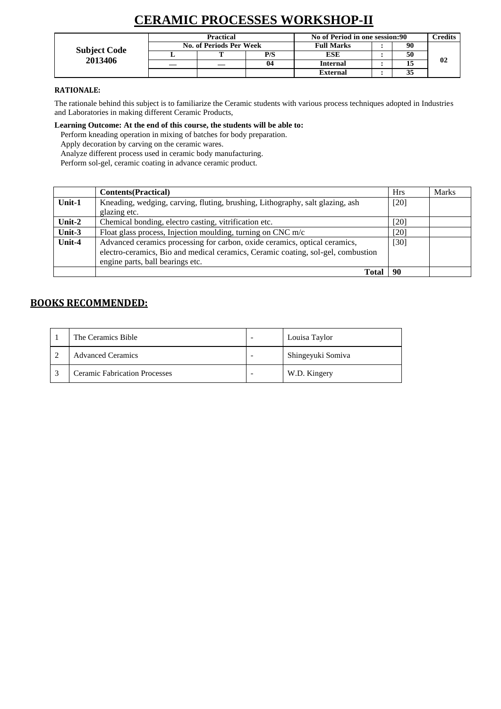# **CERAMIC PROCESSES WORKSHOP-II**

| <b>Subject Code</b><br>2013406 | Practical               |  |     | No of Period in one session:90 | <b>Predits</b> |    |
|--------------------------------|-------------------------|--|-----|--------------------------------|----------------|----|
|                                | No. of Periods Per Week |  |     | <b>Full Marks</b>              | 90             |    |
|                                |                         |  | P/S | <b>ESE</b>                     | 50             |    |
|                                |                         |  | 04  | Internal                       |                | 02 |
|                                |                         |  |     | <b>External</b>                | 35             |    |

### **RATIONALE:**

The rationale behind this subject is to familiarize the Ceramic students with various process techniques adopted in Industries and Laboratories in making different Ceramic Products,

**Learning Outcome: At the end of this course, the students will be able to:**

Perform kneading operation in mixing of batches for body preparation.

Apply decoration by carving on the ceramic wares.

Analyze different process used in ceramic body manufacturing.

Perform sol-gel, ceramic coating in advance ceramic product.

|           | <b>Contents</b> (Practical)                                                      | <b>Hrs</b> | <b>Marks</b> |
|-----------|----------------------------------------------------------------------------------|------------|--------------|
| Unit- $1$ | Kneading, wedging, carving, fluting, brushing, Lithography, salt glazing, ash    | $[20]$     |              |
|           | glazing etc.                                                                     |            |              |
| Unit- $2$ | Chemical bonding, electro casting, vitrification etc.                            | [20]       |              |
| Unit-3    | Float glass process, Injection moulding, turning on CNC $m/c$                    | [20]       |              |
| Unit-4    | Advanced ceramics processing for carbon, oxide ceramics, optical ceramics,       | [30]       |              |
|           | electro-ceramics, Bio and medical ceramics, Ceramic coating, sol-gel, combustion |            |              |
|           | engine parts, ball bearings etc.                                                 |            |              |
|           | Total                                                                            | 90         |              |

| The Ceramics Bible                   | Louisa Taylor     |
|--------------------------------------|-------------------|
| <b>Advanced Ceramics</b>             | Shingeyuki Somiva |
| <b>Ceramic Fabrication Processes</b> | W.D. Kingery      |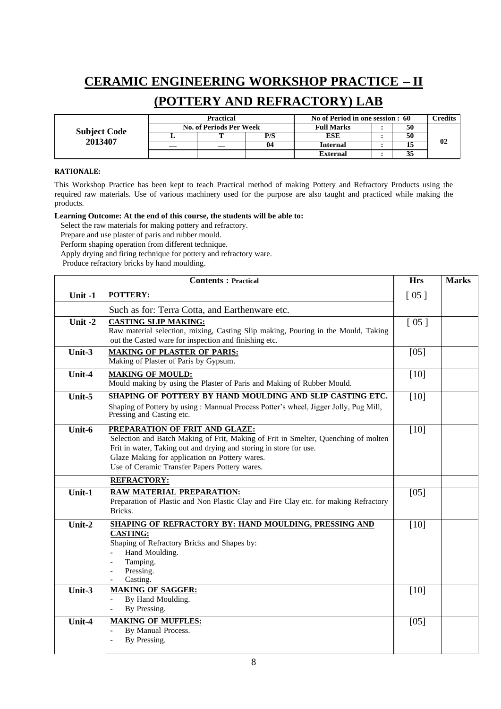# **CERAMIC ENGINEERING WORKSHOP PRACTICE II**

## **(POTTERY AND REFRACTORY) LAB**

|                     | <b>Practical</b>               |  |     | No of Period in one session : 60 |  |    | <b>Predits</b> |
|---------------------|--------------------------------|--|-----|----------------------------------|--|----|----------------|
|                     | <b>No. of Periods Per Week</b> |  |     | <b>Full Marks</b>                |  | 50 |                |
| <b>Subject Code</b> |                                |  | P/S | ESE                              |  | 50 |                |
| 2013407             |                                |  | 04  | Internal                         |  |    | 02             |
|                     |                                |  |     | External                         |  | 33 |                |

### **RATIONALE:**

This Workshop Practice has been kept to teach Practical method of making Pottery and Refractory Products using the required raw materials. Use of various machinery used for the purpose are also taught and practiced while making the products.

#### **Learning Outcome: At the end of this course, the students will be able to:**

Select the raw materials for making pottery and refractory.

Prepare and use plaster of paris and rubber mould.

Perform shaping operation from different technique.

Apply drying and firing technique for pottery and refractory ware.

Produce refractory bricks by hand moulding.

|         | <b>Contents: Practical</b>                                                                                                                                                                                                                                                                    | <b>Hrs</b> | <b>Marks</b> |
|---------|-----------------------------------------------------------------------------------------------------------------------------------------------------------------------------------------------------------------------------------------------------------------------------------------------|------------|--------------|
| Unit -1 | <b>POTTERY:</b>                                                                                                                                                                                                                                                                               | [05]       |              |
|         | Such as for: Terra Cotta, and Earthenware etc.                                                                                                                                                                                                                                                |            |              |
| Unit -2 | <b>CASTING SLIP MAKING:</b><br>Raw material selection, mixing, Casting Slip making, Pouring in the Mould, Taking<br>out the Casted ware for inspection and finishing etc.                                                                                                                     | [05]       |              |
| Unit-3  | <b>MAKING OF PLASTER OF PARIS:</b><br>Making of Plaster of Paris by Gypsum.                                                                                                                                                                                                                   | $[05]$     |              |
| Unit-4  | <b>MAKING OF MOULD:</b><br>Mould making by using the Plaster of Paris and Making of Rubber Mould.                                                                                                                                                                                             | $[10]$     |              |
| Unit-5  | SHAPING OF POTTERY BY HAND MOULDING AND SLIP CASTING ETC.<br>Shaping of Pottery by using: Mannual Process Potter's wheel, Jigger Jolly, Pug Mill,<br>Pressing and Casting etc.                                                                                                                | $[10]$     |              |
| Unit-6  | PREPARATION OF FRIT AND GLAZE:<br>Selection and Batch Making of Frit, Making of Frit in Smelter, Quenching of molten<br>Frit in water, Taking out and drying and storing in store for use.<br>Glaze Making for application on Pottery wares.<br>Use of Ceramic Transfer Papers Pottery wares. | $[10]$     |              |
|         | <b>REFRACTORY:</b>                                                                                                                                                                                                                                                                            |            |              |
| Unit-1  | RAW MATERIAL PREPARATION:<br>Preparation of Plastic and Non Plastic Clay and Fire Clay etc. for making Refractory<br>Bricks.                                                                                                                                                                  | [05]       |              |
| Unit-2  | SHAPING OF REFRACTORY BY: HAND MOULDING, PRESSING AND<br><b>CASTING:</b><br>Shaping of Refractory Bricks and Shapes by:<br>Hand Moulding.<br>Tamping.<br>$\blacksquare$<br>Pressing.<br>Casting.<br>$\blacksquare$                                                                            | [10]       |              |
| Unit-3  | <b>MAKING OF SAGGER:</b><br>By Hand Moulding.<br>$\overline{\phantom{a}}$<br>By Pressing.<br>$\overline{\phantom{a}}$                                                                                                                                                                         | [10]       |              |
| Unit-4  | <b>MAKING OF MUFFLES:</b><br>By Manual Process.<br>By Pressing.<br>$\overline{\phantom{a}}$                                                                                                                                                                                                   | $[05]$     |              |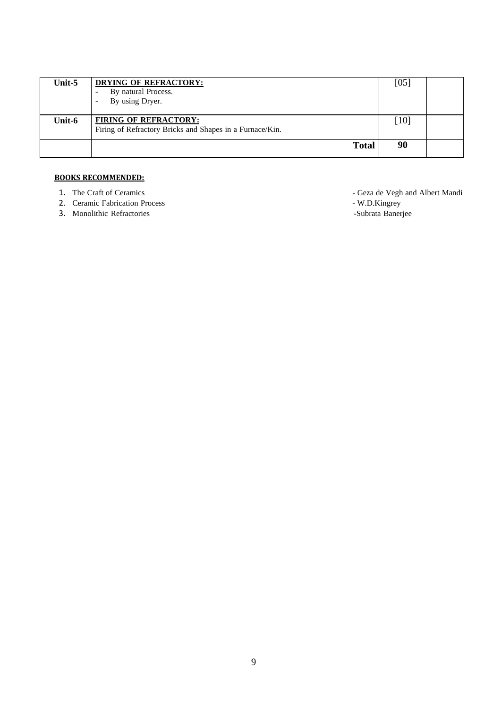| Unit-5 | <b>DRYING OF REFRACTORY:</b><br>By natural Process.<br>By using Dryer.                   | [05]   |  |
|--------|------------------------------------------------------------------------------------------|--------|--|
| Unit-6 | <b>FIRING OF REFRACTORY:</b><br>Firing of Refractory Bricks and Shapes in a Furnace/Kin. | $[10]$ |  |
|        | <b>Total</b>                                                                             | 90     |  |

- 
- 2. Ceramic Fabrication Process W.D.Kingrey W.D.Kingrey W.D.Kingrey Subrata Banerjee
- 3. Monolithic Refractories
- 1. The Craft of Ceramics<br>
2. Ceramic Fabrication Process<br>
1. W.D.Kingrey<br>
2. Ceramic Fabrication Process<br>
2. Ceramic Fabrication Process<br>
2. Ceramic Fabrication Process<br>
2. Ceramic Fabrication Process<br>
2. Ceramic Fabricati
	-
	-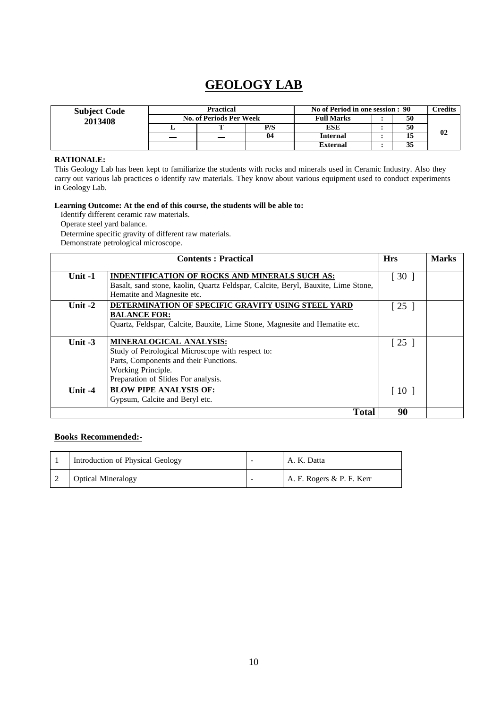## **GEOLOGY LAB**

| <b>Subject Code</b> | Practical                      |  |     | No of Period in one session : 90 |  |    | Credits |
|---------------------|--------------------------------|--|-----|----------------------------------|--|----|---------|
| 2013408             | <b>No. of Periods Per Week</b> |  |     | <b>Full Marks</b>                |  | 50 |         |
|                     |                                |  | P/S | ESE                              |  | 50 |         |
|                     |                                |  | 04  | <b>Internal</b>                  |  |    | 02      |
|                     |                                |  |     | <b>External</b>                  |  | 33 |         |

### **RATIONALE:**

This Geology Lab has been kept to familiarize the students with rocks and minerals used in Ceramic Industry. Also they carry out various lab practices o identify raw materials. They know about various equipment used to conduct experiments in Geology Lab.

### **Learning Outcome: At the end of this course, the students will be able to:**

Identify different ceramic raw materials.

Operate steel yard balance.

Determine specific gravity of different raw materials. Demonstrate petrological microscope.

|           | <b>Contents: Practical</b>                                                                                                                                                          | <b>Hrs</b>                         | <b>Marks</b> |
|-----------|-------------------------------------------------------------------------------------------------------------------------------------------------------------------------------------|------------------------------------|--------------|
| Unit $-1$ | <b>INDENTIFICATION OF ROCKS AND MINERALS SUCH AS:</b><br>Basalt, sand stone, kaolin, Quartz Feldspar, Calcite, Beryl, Bauxite, Lime Stone,<br>Hematite and Magnesite etc.           | $\begin{bmatrix} 30 \end{bmatrix}$ |              |
| Unit $-2$ | DETERMINATION OF SPECIFIC GRAVITY USING STEEL YARD<br><b>BALANCE FOR:</b><br>Quartz, Feldspar, Calcite, Bauxite, Lime Stone, Magnesite and Hematite etc.                            | $\lceil 25 \rceil$                 |              |
| Unit $-3$ | MINERALOGICAL ANALYSIS:<br>Study of Petrological Microscope with respect to:<br>Parts, Components and their Functions.<br>Working Principle.<br>Preparation of Slides For analysis. | $\lceil 25 \rceil$                 |              |
| Unit $-4$ | <b>BLOW PIPE ANALYSIS OF:</b><br>Gypsum, Calcite and Beryl etc.                                                                                                                     | $\lceil 10 \rceil$                 |              |
|           | <b>Total</b>                                                                                                                                                                        | 90                                 |              |

| Introduction of Physical Geology | A. K. Datta               |
|----------------------------------|---------------------------|
| <b>Optical Mineralogy</b>        | A. F. Rogers & P. F. Kerr |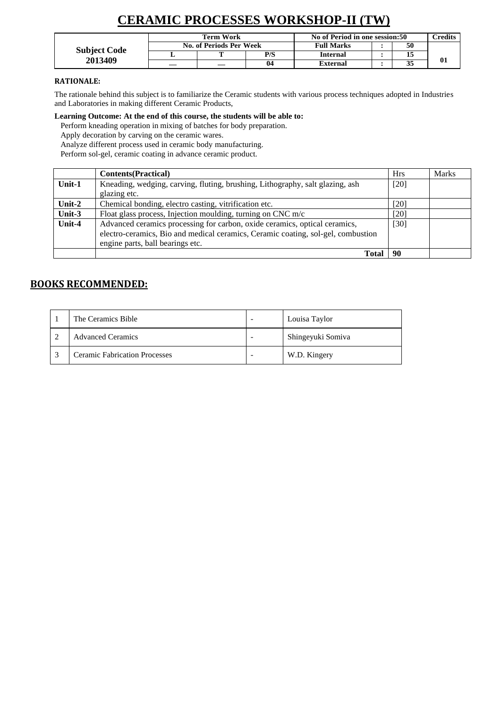# **CERAMIC PROCESSES WORKSHOP-II (TW)**

|                     | Term Work               |     | No of Period in one session:50 |  |    | <b>Predits</b> |
|---------------------|-------------------------|-----|--------------------------------|--|----|----------------|
| <b>Subject Code</b> | No. of Periods Per Week |     | <b>Full Marks</b>              |  | 50 |                |
|                     |                         | P/S | Internal                       |  | 15 |                |
| 2013409             |                         |     | External                       |  | 35 | 01             |

### **RATIONALE:**

The rationale behind this subject is to familiarize the Ceramic students with various process techniques adopted in Industries and Laboratories in making different Ceramic Products,

**Learning Outcome: At the end of this course, the students will be able to:**

Perform kneading operation in mixing of batches for body preparation.

Apply decoration by carving on the ceramic wares.

Analyze different process used in ceramic body manufacturing.

Perform sol-gel, ceramic coating in advance ceramic product.

|           | <b>Contents</b> (Practical)                                                      | <b>Hrs</b> | <b>Marks</b> |
|-----------|----------------------------------------------------------------------------------|------------|--------------|
| Unit- $1$ | Kneading, wedging, carving, fluting, brushing, Lithography, salt glazing, ash    | $[20]$     |              |
|           | glazing etc.                                                                     |            |              |
| Unit- $2$ | Chemical bonding, electro casting, vitrification etc.                            | [20]       |              |
| Unit-3    | Float glass process, Injection moulding, turning on CNC $m/c$                    | [20]       |              |
| Unit-4    | Advanced ceramics processing for carbon, oxide ceramics, optical ceramics,       | [30]       |              |
|           | electro-ceramics, Bio and medical ceramics, Ceramic coating, sol-gel, combustion |            |              |
|           | engine parts, ball bearings etc.                                                 |            |              |
|           | Total                                                                            | 90         |              |

| The Ceramics Bible                   | Louisa Taylor     |
|--------------------------------------|-------------------|
| <b>Advanced Ceramics</b>             | Shingeyuki Somiva |
| <b>Ceramic Fabrication Processes</b> | W.D. Kingery      |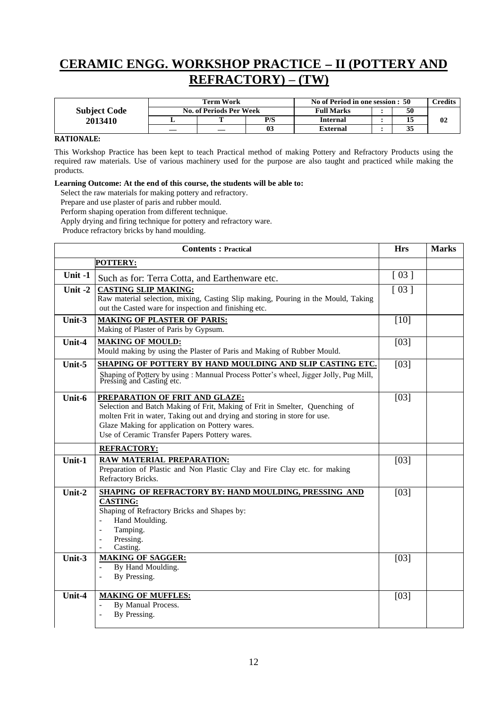## **CERAMIC ENGG. WORKSHOP PRACTICE II (POTTERY AND REFRACTORY) – (TW)**

|                     | Term Work                      |     | No of Period in one session : 50 |  |    | <b>Tredits</b> |
|---------------------|--------------------------------|-----|----------------------------------|--|----|----------------|
| <b>Subject Code</b> | <b>No. of Periods Per Week</b> |     | <b>Full Marks</b>                |  | 50 |                |
| 2013410             |                                | P/S | Internal                         |  |    | 02             |
|                     |                                | 03  | External                         |  | 33 |                |

### **RATIONALE:**

This Workshop Practice has been kept to teach Practical method of making Pottery and Refractory Products using the required raw materials. Use of various machinery used for the purpose are also taught and practiced while making the products.

#### **Learning Outcome: At the end of this course, the students will be able to:**

Select the raw materials for making pottery and refractory.

Prepare and use plaster of paris and rubber mould.

Perform shaping operation from different technique.

Apply drying and firing technique for pottery and refractory ware.

Produce refractory bricks by hand moulding.

|           | <b>Contents: Practical</b>                                                                                                                                                                                                                                                                    | <b>Hrs</b>         | <b>Marks</b> |
|-----------|-----------------------------------------------------------------------------------------------------------------------------------------------------------------------------------------------------------------------------------------------------------------------------------------------|--------------------|--------------|
|           | <b>POTTERY:</b>                                                                                                                                                                                                                                                                               |                    |              |
| Unit -1   | Such as for: Terra Cotta, and Earthenware etc.                                                                                                                                                                                                                                                | $\lceil 03 \rceil$ |              |
| Unit $-2$ | <b>CASTING SLIP MAKING:</b><br>Raw material selection, mixing, Casting Slip making, Pouring in the Mould, Taking<br>out the Casted ware for inspection and finishing etc.                                                                                                                     | [03]               |              |
| Unit-3    | <b>MAKING OF PLASTER OF PARIS:</b><br>Making of Plaster of Paris by Gypsum.                                                                                                                                                                                                                   | $[10]$             |              |
| Unit-4    | <b>MAKING OF MOULD:</b><br>Mould making by using the Plaster of Paris and Making of Rubber Mould.                                                                                                                                                                                             | [03]               |              |
| Unit-5    | SHAPING OF POTTERY BY HAND MOULDING AND SLIP CASTING ETC.<br>Shaping of Pottery by using : Mannual Process Potter's wheel, Jigger Jolly, Pug Mill, Pressing and Casting etc.                                                                                                                  | [03]               |              |
| Unit-6    | PREPARATION OF FRIT AND GLAZE:<br>Selection and Batch Making of Frit, Making of Frit in Smelter, Quenching of<br>molten Frit in water, Taking out and drying and storing in store for use.<br>Glaze Making for application on Pottery wares.<br>Use of Ceramic Transfer Papers Pottery wares. | [03]               |              |
|           | <b>REFRACTORY:</b>                                                                                                                                                                                                                                                                            |                    |              |
| Unit-1    | <b>RAW MATERIAL PREPARATION:</b><br>Preparation of Plastic and Non Plastic Clay and Fire Clay etc. for making<br>Refractory Bricks.                                                                                                                                                           | [03]               |              |
| Unit-2    | SHAPING OF REFRACTORY BY: HAND MOULDING, PRESSING AND<br><b>CASTING:</b><br>Shaping of Refractory Bricks and Shapes by:<br>Hand Moulding.<br>Tamping.<br>Pressing.<br>Casting.                                                                                                                | [03]               |              |
| Unit- $3$ | <b>MAKING OF SAGGER:</b><br>By Hand Moulding.<br>$\overline{a}$<br>By Pressing.<br>$\overline{a}$                                                                                                                                                                                             | [03]               |              |
| Unit-4    | <b>MAKING OF MUFFLES:</b><br>By Manual Process.<br>By Pressing.<br>$\overline{a}$                                                                                                                                                                                                             | [03]               |              |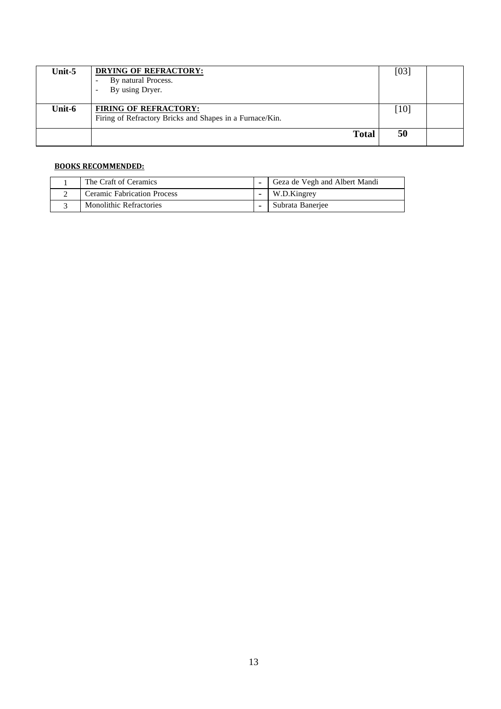| Unit-5 | <b>DRYING OF REFRACTORY:</b><br>By natural Process.<br>By using Dryer.<br>$\overline{\phantom{a}}$ | [03]   |  |
|--------|----------------------------------------------------------------------------------------------------|--------|--|
| Unit-6 | <b>FIRING OF REFRACTORY:</b><br>Firing of Refractory Bricks and Shapes in a Furnace/Kin.           | $[10]$ |  |
|        | <b>Total</b>                                                                                       | 50     |  |

| The Craft of Ceramics              | Geza de Vegh and Albert Mandi |
|------------------------------------|-------------------------------|
| <b>Ceramic Fabrication Process</b> | W.D.Kingrey                   |
| <b>Monolithic Refractories</b>     | Subrata Banerjee              |